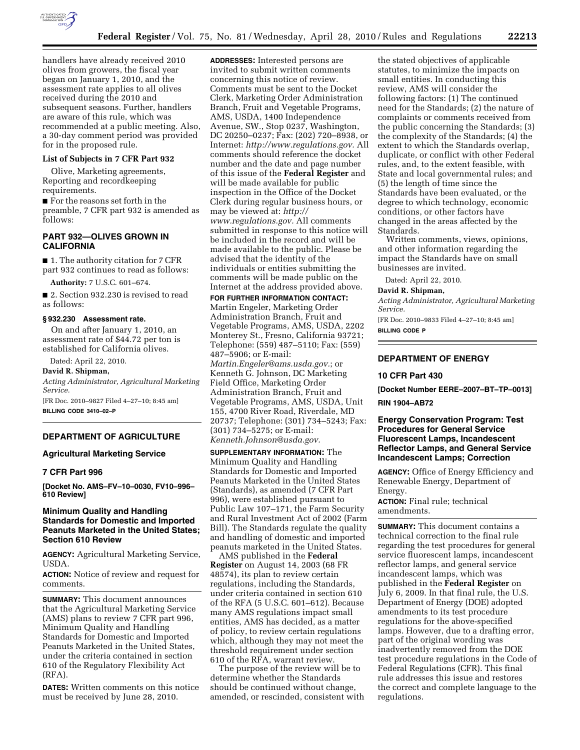

handlers have already received 2010 olives from growers, the fiscal year began on January 1, 2010, and the assessment rate applies to all olives received during the 2010 and subsequent seasons. Further, handlers are aware of this rule, which was recommended at a public meeting. Also, a 30-day comment period was provided for in the proposed rule.

### **List of Subjects in 7 CFR Part 932**

Olive, Marketing agreements, Reporting and recordkeeping requirements.

■ For the reasons set forth in the preamble, 7 CFR part 932 is amended as follows:

## **PART 932—OLIVES GROWN IN CALIFORNIA**

■ 1. The authority citation for 7 CFR part 932 continues to read as follows:

**Authority:** 7 U.S.C. 601–674.

■ 2. Section 932.230 is revised to read as follows:

#### **§ 932.230 Assessment rate.**

On and after January 1, 2010, an assessment rate of \$44.72 per ton is established for California olives.

Dated: April 22, 2010.

**David R. Shipman,** 

*Acting Administrator, Agricultural Marketing Service.* 

[FR Doc. 2010–9827 Filed 4–27–10; 8:45 am] **BILLING CODE 3410–02–P** 

## **DEPARTMENT OF AGRICULTURE**

### **Agricultural Marketing Service**

## **7 CFR Part 996**

**[Docket No. AMS–FV–10–0030, FV10–996– 610 Review]** 

## **Minimum Quality and Handling Standards for Domestic and Imported Peanuts Marketed in the United States; Section 610 Review**

**AGENCY:** Agricultural Marketing Service, USDA.

**ACTION:** Notice of review and request for comments.

**SUMMARY:** This document announces that the Agricultural Marketing Service (AMS) plans to review 7 CFR part 996, Minimum Quality and Handling Standards for Domestic and Imported Peanuts Marketed in the United States, under the criteria contained in section 610 of the Regulatory Flexibility Act (RFA).

**DATES:** Written comments on this notice must be received by June 28, 2010.

**ADDRESSES:** Interested persons are invited to submit written comments concerning this notice of review. Comments must be sent to the Docket Clerk, Marketing Order Administration Branch, Fruit and Vegetable Programs, AMS, USDA, 1400 Independence Avenue, SW., Stop 0237, Washington, DC 20250–0237; Fax: (202) 720–8938, or Internet: *http://www.regulations.gov.* All comments should reference the docket number and the date and page number of this issue of the **Federal Register** and will be made available for public inspection in the Office of the Docket Clerk during regular business hours, or may be viewed at: *http:// www.regulations.gov.* All comments submitted in response to this notice will be included in the record and will be made available to the public. Please be advised that the identity of the individuals or entities submitting the comments will be made public on the Internet at the address provided above.

**FOR FURTHER INFORMATION CONTACT:**  Martin Engeler, Marketing Order Administration Branch, Fruit and Vegetable Programs, AMS, USDA, 2202 Monterey St., Fresno, California 93721; Telephone: (559) 487–5110; Fax: (559) 487–5906; or E-mail: *Martin.Engeler@ams.usda.gov.*; or

Kenneth G. Johnson, DC Marketing Field Office, Marketing Order Administration Branch, Fruit and Vegetable Programs, AMS, USDA, Unit 155, 4700 River Road, Riverdale, MD 20737; Telephone: (301) 734–5243; Fax: (301) 734–5275; or E-mail: *Kenneth.Johnson@usda.gov.* 

**SUPPLEMENTARY INFORMATION:** The Minimum Quality and Handling Standards for Domestic and Imported Peanuts Marketed in the United States (Standards), as amended (7 CFR Part 996), were established pursuant to Public Law 107–171, the Farm Security and Rural Investment Act of 2002 (Farm Bill). The Standards regulate the quality and handling of domestic and imported peanuts marketed in the United States.

AMS published in the **Federal Register** on August 14, 2003 (68 FR 48574), its plan to review certain regulations, including the Standards, under criteria contained in section 610 of the RFA (5 U.S.C. 601–612). Because many AMS regulations impact small entities, AMS has decided, as a matter of policy, to review certain regulations which, although they may not meet the threshold requirement under section 610 of the RFA, warrant review.

The purpose of the review will be to determine whether the Standards should be continued without change, amended, or rescinded, consistent with

the stated objectives of applicable statutes, to minimize the impacts on small entities. In conducting this review, AMS will consider the following factors: (1) The continued need for the Standards; (2) the nature of complaints or comments received from the public concerning the Standards; (3) the complexity of the Standards; (4) the extent to which the Standards overlap, duplicate, or conflict with other Federal rules, and, to the extent feasible, with State and local governmental rules; and (5) the length of time since the Standards have been evaluated, or the degree to which technology, economic conditions, or other factors have changed in the areas affected by the Standards.

Written comments, views, opinions, and other information regarding the impact the Standards have on small businesses are invited.

Dated: April 22, 2010.

#### **David R. Shipman,**

*Acting Administrator, Agricultural Marketing Service.* 

[FR Doc. 2010–9833 Filed 4–27–10; 8:45 am] **BILLING CODE P** 

# **DEPARTMENT OF ENERGY**

## **10 CFR Part 430**

**[Docket Number EERE–2007–BT–TP–0013] RIN 1904–AB72** 

## **Energy Conservation Program: Test Procedures for General Service Fluorescent Lamps, Incandescent Reflector Lamps, and General Service Incandescent Lamps; Correction**

**AGENCY:** Office of Energy Efficiency and Renewable Energy, Department of Energy.

**ACTION:** Final rule; technical amendments.

**SUMMARY:** This document contains a technical correction to the final rule regarding the test procedures for general service fluorescent lamps, incandescent reflector lamps, and general service incandescent lamps, which was published in the **Federal Register** on July 6, 2009. In that final rule, the U.S. Department of Energy (DOE) adopted amendments to its test procedure regulations for the above-specified lamps. However, due to a drafting error, part of the original wording was inadvertently removed from the DOE test procedure regulations in the Code of Federal Regulations (CFR). This final rule addresses this issue and restores the correct and complete language to the regulations.